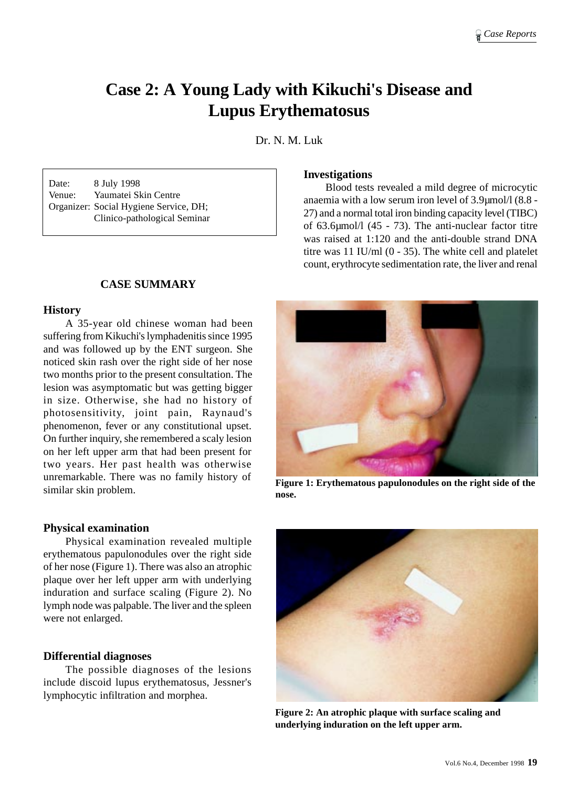# **Case 2: A Young Lady with Kikuchi's Disease and Lupus Erythematosus**

Dr. N. M. Luk

Date: 8 July 1998 Venue: Yaumatei Skin Centre Organizer: Social Hygiene Service, DH; Clinico-pathological Seminar

# **CASE SUMMARY**

## **History**

A 35-year old chinese woman had been suffering from Kikuchi's lymphadenitis since 1995 and was followed up by the ENT surgeon. She noticed skin rash over the right side of her nose two months prior to the present consultation. The lesion was asymptomatic but was getting bigger in size. Otherwise, she had no history of photosensitivity, joint pain, Raynaud's phenomenon, fever or any constitutional upset. On further inquiry, she remembered a scaly lesion on her left upper arm that had been present for two years. Her past health was otherwise unremarkable. There was no family history of similar skin problem.

#### **Physical examination**

Physical examination revealed multiple erythematous papulonodules over the right side of her nose (Figure 1). There was also an atrophic plaque over her left upper arm with underlying induration and surface scaling (Figure 2). No lymph node was palpable. The liver and the spleen were not enlarged.

#### **Differential diagnoses**

The possible diagnoses of the lesions include discoid lupus erythematosus, Jessner's lymphocytic infiltration and morphea.

#### **Investigations**

Blood tests revealed a mild degree of microcytic anaemia with a low serum iron level of 3.9µmol/l (8.8 - 27) and a normal total iron binding capacity level (TIBC) of 63.6µmol/l (45 - 73). The anti-nuclear factor titre was raised at 1:120 and the anti-double strand DNA titre was 11 IU/ml (0 - 35). The white cell and platelet count, erythrocyte sedimentation rate, the liver and renal



**Figure 1: Erythematous papulonodules on the right side of the nose.**



**Figure 2: An atrophic plaque with surface scaling and underlying induration on the left upper arm.**